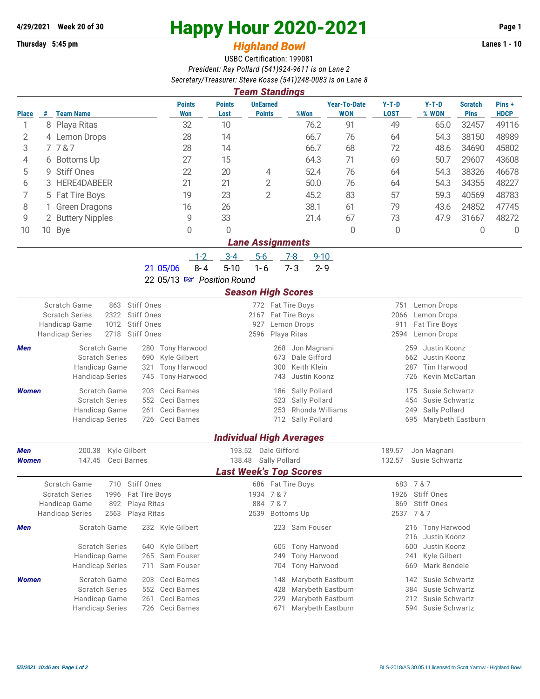## **Thursday 5:45 pm** *Highland Bowl* **Lanes 1 - 10**

## **4/29/2021 Week 20 of 30 Happy Hour 2020-2021 Page 1**

## USBC Certification: 199081 *President: Ray Pollard (541)924-9611 is on Lane 2 Secretary/Treasurer: Steve Kosse (541)248-0083 is on Lane 8*

| <b>Team Standings</b>                                                              |   |                                                      |                            |                           |                                  |                                  |                                             |                           |                                     |                               |                      |  |  |
|------------------------------------------------------------------------------------|---|------------------------------------------------------|----------------------------|---------------------------|----------------------------------|----------------------------------|---------------------------------------------|---------------------------|-------------------------------------|-------------------------------|----------------------|--|--|
| Place                                                                              |   | # Team Name                                          | <b>Points</b><br>Won       | <b>Points</b><br>Lost     | <b>UnEarned</b><br><b>Points</b> | %Won                             | <b>Year-To-Date</b><br><b>WON</b>           | $Y-T-D$<br><b>LOST</b>    | $Y-T-D$<br>% WON                    | <b>Scratch</b><br><b>Pins</b> | Pins+<br><b>HDCP</b> |  |  |
| 1                                                                                  |   | 8 Playa Ritas                                        | 32                         | 10                        |                                  | 76.2                             | 91                                          | 49                        | 65.0                                | 32457                         | 49116                |  |  |
| $\overline{2}$                                                                     |   | 4 Lemon Drops                                        | 28                         | 14                        |                                  | 66.7                             | 76                                          | 64                        | 54.3                                | 38150                         | 48989                |  |  |
| 3                                                                                  |   | 7787                                                 | 28                         | 14                        |                                  | 66.7                             | 68                                          | 72                        | 48.6                                | 34690                         | 45802                |  |  |
| 4                                                                                  |   | 6 Bottoms Up                                         | 27                         | 15                        |                                  | 64.3                             | 71                                          | 69                        | 50.7                                | 29607                         | 43608                |  |  |
| 5                                                                                  | 9 | <b>Stiff Ones</b>                                    | 22                         | 20                        | 4                                | 52.4                             | 76                                          | 64                        | 54.3                                | 38326                         | 46678                |  |  |
| 6                                                                                  | 3 | HERE4DABEER                                          | 21                         | 21                        | $\overline{2}$                   | 50.0                             | 76                                          | 64                        | 54.3                                | 34355                         | 48227                |  |  |
| 7                                                                                  |   | 5 Fat Tire Boys                                      | 19                         | 23                        | $\overline{2}$                   | 45.2                             | 83                                          | 57                        | 59.3                                | 40569                         | 48783                |  |  |
| 8                                                                                  |   | <b>Green Dragons</b>                                 | 16                         | 26                        |                                  | 38.1                             | 61                                          | 79                        | 43.6                                | 24852                         | 47745                |  |  |
| 9                                                                                  |   | 2 Buttery Nipples                                    | 9                          | 33                        |                                  | 21.4                             | 67                                          | 73                        | 47.9                                | 31667                         | 48272                |  |  |
| 10                                                                                 |   | 10 Bye                                               | $\Omega$                   | 0                         |                                  |                                  | $\overline{0}$                              | 0                         |                                     | 0                             | $\mathbf 0$          |  |  |
|                                                                                    |   |                                                      |                            |                           | Lane Assignments                 |                                  |                                             |                           |                                     |                               |                      |  |  |
|                                                                                    |   |                                                      | $1 - 2$                    | $3 - 4$                   | $5-6$                            | $9 - 10$<br>$7-8$                |                                             |                           |                                     |                               |                      |  |  |
|                                                                                    |   |                                                      | $8 - 4$<br>21 05/06        | $5 - 10$                  | $1 - 6$                          | $7 - 3$<br>$2 - 9$               |                                             |                           |                                     |                               |                      |  |  |
|                                                                                    |   |                                                      | 22 05/13 R Position Round  |                           |                                  |                                  |                                             |                           |                                     |                               |                      |  |  |
|                                                                                    |   |                                                      |                            |                           | <b>Season High Scores</b>        |                                  |                                             |                           |                                     |                               |                      |  |  |
|                                                                                    |   | Scratch Game<br>Stiff Ones<br>863                    |                            |                           | 772 Fat Tire Boys                |                                  |                                             | 751                       | Lemon Drops                         |                               |                      |  |  |
| <b>Scratch Series</b><br>2322<br>Stiff Ones<br>Handicap Game<br>1012<br>Stiff Ones |   |                                                      |                            | 2167 Fat Tire Boys<br>927 | Lemon Drops                      |                                  | 2066<br>Lemon Drops<br>911<br>Fat Tire Boys |                           |                                     |                               |                      |  |  |
|                                                                                    |   | 2718<br><b>Handicap Series</b><br><b>Stiff Ones</b>  |                            |                           | 2596                             | Playa Ritas                      |                                             | 2594<br>Lemon Drops       |                                     |                               |                      |  |  |
| Men                                                                                |   | Scratch Game<br>280                                  | <b>Tony Harwood</b>        |                           | 268                              | Jon Magnani                      |                                             | 259<br>Justin Koonz       |                                     |                               |                      |  |  |
|                                                                                    |   | <b>Scratch Series</b><br>690                         | Kyle Gilbert               |                           | 673                              | Dale Gifford                     |                                             | 662                       | Justin Koonz                        |                               |                      |  |  |
| Handicap Game<br>321                                                               |   |                                                      | <b>Tony Harwood</b>        |                           | 300                              | Keith Klein                      |                                             | <b>Tim Harwood</b><br>287 |                                     |                               |                      |  |  |
|                                                                                    |   | <b>Handicap Series</b><br>745                        | Tony Harwood               |                           | 743                              | Justin Koonz                     |                                             | 726<br>Kevin McCartan     |                                     |                               |                      |  |  |
| Women                                                                              |   | Scratch Game<br>203                                  | Ceci Barnes                |                           | 186                              | Sally Pollard                    |                                             | 175                       | Susie Schwartz                      |                               |                      |  |  |
|                                                                                    |   | <b>Scratch Series</b><br>552<br>Handicap Game<br>261 | Ceci Barnes<br>Ceci Barnes |                           | 523<br>253                       | Sally Pollard<br>Rhonda Williams |                                             | 454<br>249                | Susie Schwartz<br>Sally Pollard     |                               |                      |  |  |
|                                                                                    |   | 726<br><b>Handicap Series</b>                        | Ceci Barnes                |                           | 712                              | Sally Pollard                    |                                             | 695                       | Marybeth Eastburn                   |                               |                      |  |  |
|                                                                                    |   |                                                      |                            |                           |                                  | <b>Individual High Averages</b>  |                                             |                           |                                     |                               |                      |  |  |
| <b>Men</b>                                                                         |   | Kyle Gilbert<br>200.38                               |                            |                           | 193.52 Dale Gifford              |                                  |                                             | 189.57                    | Jon Magnani                         |                               |                      |  |  |
| Women                                                                              |   | 147.45<br>Ceci Barnes                                |                            | 138.48                    | Sally Pollard                    |                                  |                                             | 132.57                    | Susie Schwartz                      |                               |                      |  |  |
|                                                                                    |   |                                                      |                            |                           | <b>Last Week's Top Scores</b>    |                                  |                                             |                           |                                     |                               |                      |  |  |
|                                                                                    |   | Scratch Game<br>710<br>Stiff Ones                    |                            |                           | 686 Fat Tire Boys                |                                  |                                             |                           | 683 7 & 7                           |                               |                      |  |  |
|                                                                                    |   | <b>Scratch Series</b><br>Fat Tire Boys<br>1996       |                            |                           | 1934 7 & 7                       |                                  |                                             |                           | 1926 Stiff Ones                     |                               |                      |  |  |
|                                                                                    |   | Handicap Game<br>892<br>Playa Ritas                  |                            |                           | 884 7 & 7                        |                                  |                                             | 869                       | Stiff Ones                          |                               |                      |  |  |
|                                                                                    |   | 2563<br>Playa Ritas<br><b>Handicap Series</b>        |                            |                           | 2539 Bottoms Up                  |                                  |                                             | 2537 7 & 7                |                                     |                               |                      |  |  |
| Men                                                                                |   | Scratch Game                                         | 232 Kyle Gilbert           |                           |                                  | 223 Sam Fouser                   |                                             |                           | 216 Tony Harwood                    |                               |                      |  |  |
|                                                                                    |   | <b>Scratch Series</b><br>640                         | Kyle Gilbert               |                           | 605                              | Tony Harwood                     |                                             | 600                       | Justin Koonz<br>216<br>Justin Koonz |                               |                      |  |  |
|                                                                                    |   | Handicap Game<br>265                                 | Sam Fouser                 |                           | 249                              | <b>Tony Harwood</b>              |                                             | Kyle Gilbert<br>241       |                                     |                               |                      |  |  |
|                                                                                    |   | <b>Handicap Series</b><br>711                        | Sam Fouser                 |                           | 704                              | <b>Tony Harwood</b>              |                                             | 669                       | Mark Bendele                        |                               |                      |  |  |
| <b>Women</b>                                                                       |   | Scratch Game<br>203                                  | Ceci Barnes                |                           | 148                              | Marybeth Eastburn                |                                             |                           | 142 Susie Schwartz                  |                               |                      |  |  |
|                                                                                    |   | <b>Scratch Series</b><br>552                         | Ceci Barnes                |                           | 428                              | Marybeth Eastburn                |                                             |                           | Susie Schwartz<br>384               |                               |                      |  |  |
|                                                                                    |   | Handicap Game<br>261                                 | Ceci Barnes                |                           | 229                              | Marybeth Eastburn                |                                             |                           | Susie Schwartz<br>212               |                               |                      |  |  |
|                                                                                    |   | <b>Handicap Series</b>                               | 726 Ceci Barnes            |                           | 671                              | Marybeth Eastburn                |                                             |                           | Susie Schwartz<br>594               |                               |                      |  |  |